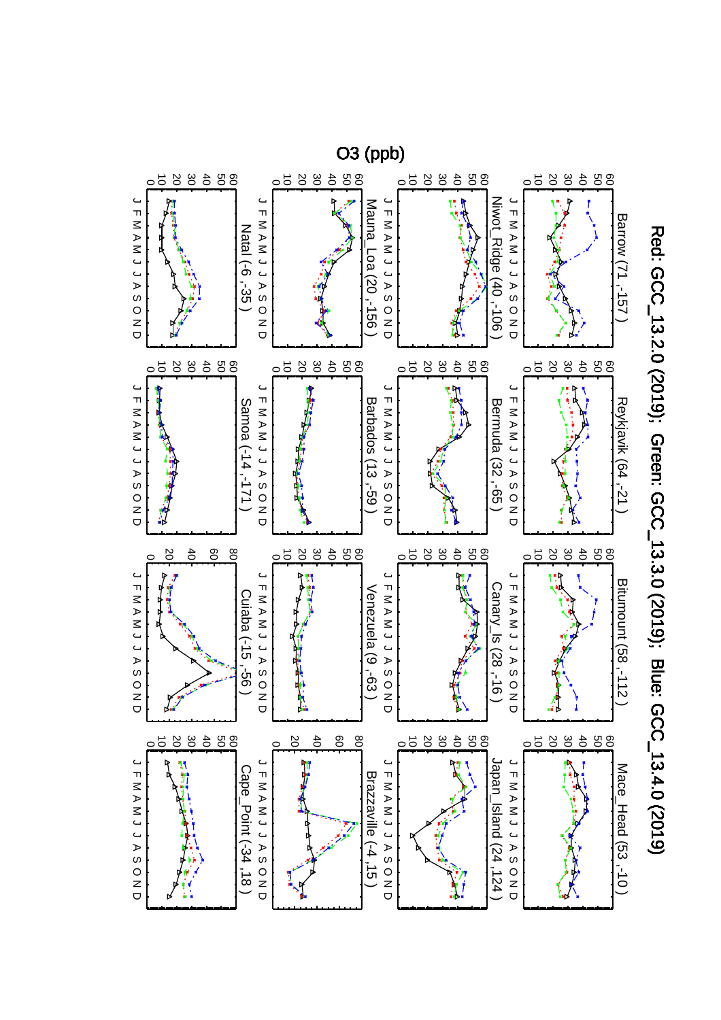

Red: GCC\_13.2.0 (2019); Green: GCC\_13.3.0 (2019); Blue: GCC\_13.4.0 (2019) Red: GCC\_13.2.0 (2019); Green: GCC\_13.3.0 (2019); Blue: GCC\_13.4.0 (2019)